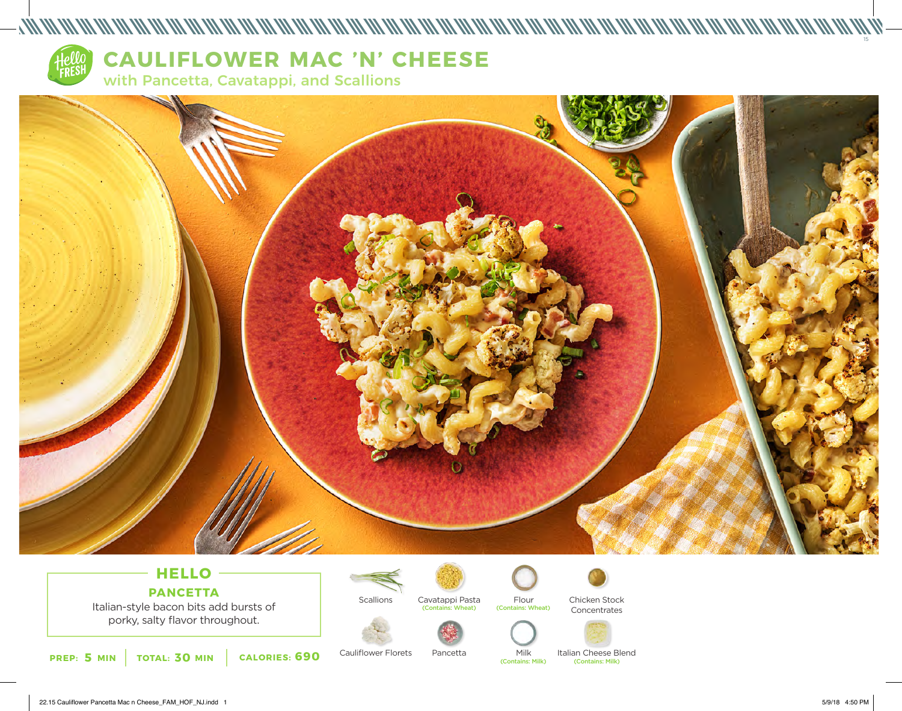

# **CAULIFLOWER MAC 'N' CHEESE**

with Pancetta, Cavatappi, and Scallions



www.community.com/www.com/www.com/www.com/www.com/www.com/www.com/www.com/www.com/www.com/www.com/w

## **HELLO PANCETTA**

Italian-style bacon bits add bursts of porky, salty flavor throughout.



Cauliflower Florets

**Scallions** 



Pancetta

(Contains: Wheat) (Contains: Wheat)



Chicken Stock Concentrates





Italian Cheese Blend Milk<br>(Contains: Milk) (Contains: Milk) (Contains: Milk)

15